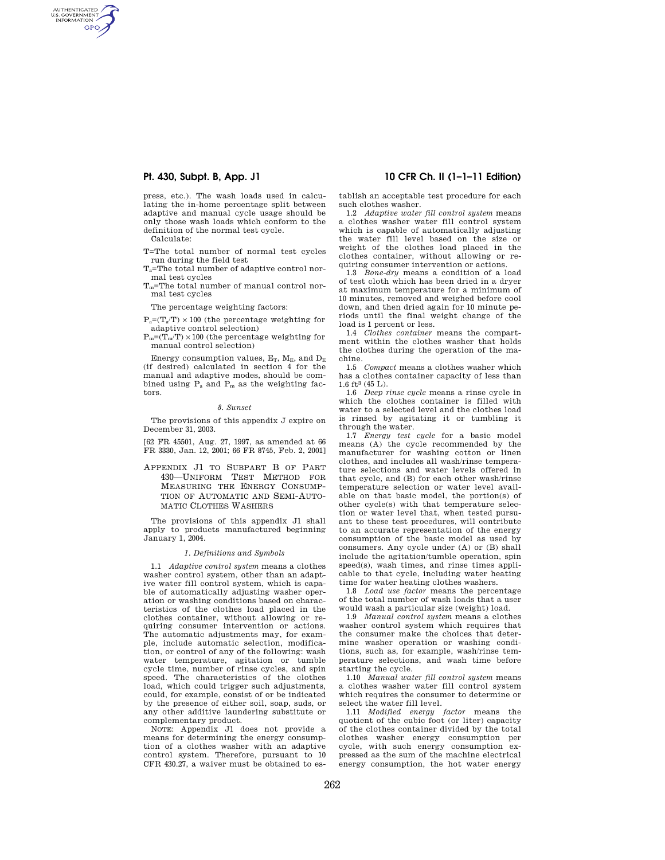press, etc.). The wash loads used in calculating the in-home percentage split between adaptive and manual cycle usage should be only those wash loads which conform to the definition of the normal test cycle. Calculate:

AUTHENTICATED<br>U.S. GOVERNMENT<br>INFORMATION **GPO** 

> T=The total number of normal test cycles run during the field test

Ta=The total number of adaptive control normal test cycles

 $T_m$ =The total number of manual control normal test cycles

The percentage weighting factors:

 $P_a{=}({T_a}/{T})\times 100$  (the percentage weighting for adaptive control selection)

 $P_m=(T_m/T)\times 100$  (the percentage weighting for manual control selection)

Energy consumption values,  $E_T$ ,  $M_E$ , and  $D_E$ (if desired) calculated in section 4 for the manual and adaptive modes, should be combined using  $P_a$  and  $P_m$  as the weighting factors.

### *8. Sunset*

The provisions of this appendix J expire on December 31, 2003.

[62 FR 45501, Aug. 27, 1997, as amended at 66 FR 3330, Jan. 12, 2001; 66 FR 8745, Feb. 2, 2001]

APPENDIX J1 TO SUBPART B OF PART 430—UNIFORM TEST METHOD FOR MEASURING THE ENERGY CONSUMP-TION OF AUTOMATIC AND SEMI-AUTO-MATIC CLOTHES WASHERS

The provisions of this appendix J1 shall apply to products manufactured beginning January 1, 2004.

## *1. Definitions and Symbols*

1.1 *Adaptive control system* means a clothes washer control system, other than an adaptive water fill control system, which is capable of automatically adjusting washer operation or washing conditions based on characteristics of the clothes load placed in the clothes container, without allowing or requiring consumer intervention or actions. The automatic adjustments may, for example, include automatic selection, modification, or control of any of the following: wash water temperature, agitation or tumble cycle time, number of rinse cycles, and spin speed. The characteristics of the clothes load, which could trigger such adjustments, could, for example, consist of or be indicated by the presence of either soil, soap, suds, or any other additive laundering substitute or complementary product.

NOTE: Appendix J1 does not provide a means for determining the energy consumption of a clothes washer with an adaptive control system. Therefore, pursuant to 10 CFR 430.27, a waiver must be obtained to es-

# **Pt. 430, Subpt. B, App. J1 10 CFR Ch. II (1–1–11 Edition)**

tablish an acceptable test procedure for each such clothes washer.

1.2 *Adaptive water fill control system* means a clothes washer water fill control system which is capable of automatically adjusting the water fill level based on the size or weight of the clothes load placed in the clothes container, without allowing or requiring consumer intervention or actions.

1.3 *Bone-dry* means a condition of a load of test cloth which has been dried in a dryer at maximum temperature for a minimum of 10 minutes, removed and weighed before cool down, and then dried again for 10 minute periods until the final weight change of the load is 1 percent or less.

1.4 *Clothes container* means the compartment within the clothes washer that holds the clothes during the operation of the machine.

1.5 *Compact* means a clothes washer which has a clothes container capacity of less than 1.6 ft3 (45 L).

1.6 *Deep rinse cycle* means a rinse cycle in which the clothes container is filled with water to a selected level and the clothes load is rinsed by agitating it or tumbling it through the water.

1.7 *Energy test cycle* for a basic model means (A) the cycle recommended by the manufacturer for washing cotton or linen clothes, and includes all wash/rinse temperature selections and water levels offered in that cycle, and (B) for each other wash/rinse temperature selection or water level available on that basic model, the portion(s) of other cycle(s) with that temperature selection or water level that, when tested pursuant to these test procedures, will contribute to an accurate representation of the energy consumption of the basic model as used by consumers. Any cycle under (A) or (B) shall include the agitation/tumble operation, spin speed(s), wash times, and rinse times applicable to that cycle, including water heating time for water heating clothes washers.

1.8 *Load use factor* means the percentage of the total number of wash loads that a user would wash a particular size (weight) load.

1.9 *Manual control system* means a clothes washer control system which requires that the consumer make the choices that determine washer operation or washing conditions, such as, for example, wash/rinse temperature selections, and wash time before starting the cycle.

1.10 *Manual water fill control system* means a clothes washer water fill control system which requires the consumer to determine or select the water fill level.

1.11 *Modified energy factor* means the quotient of the cubic foot (or liter) capacity of the clothes container divided by the total clothes washer energy consumption per cycle, with such energy consumption expressed as the sum of the machine electrical energy consumption, the hot water energy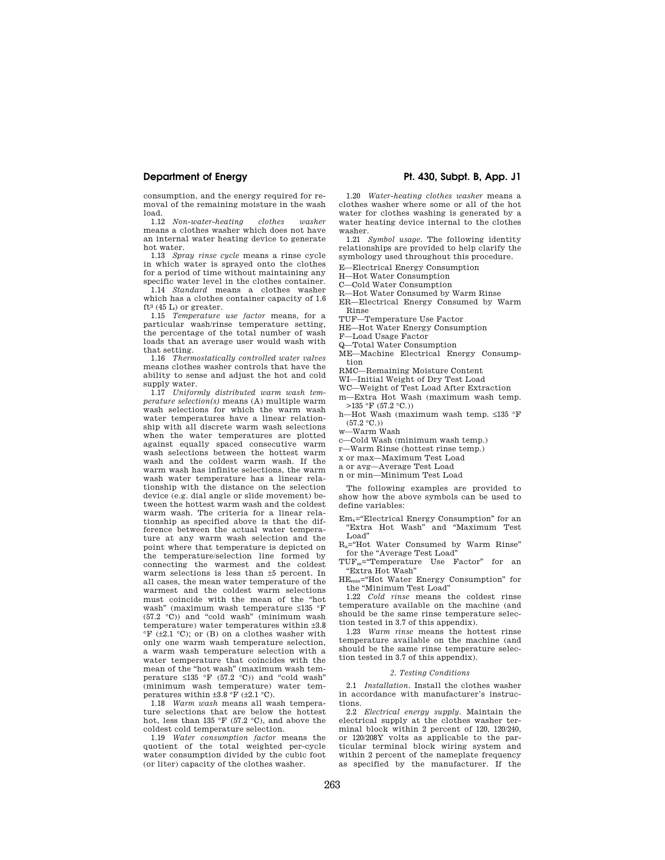consumption, and the energy required for removal of the remaining moisture in the wash load.

1.12 *Non-water-heating clothes washer*  means a clothes washer which does not have an internal water heating device to generate hot water.

1.13 *Spray rinse cycle* means a rinse cycle in which water is sprayed onto the clothes for a period of time without maintaining any specific water level in the clothes container.

1.14 *Standard* means a clothes washer which has a clothes container capacity of 1.6  $ft^3(45 L)$  or greater.

1.15 *Temperature use factor* means, for a particular wash/rinse temperature setting, the percentage of the total number of wash loads that an average user would wash with that setting.

1.16 *Thermostatically controlled water valves*  means clothes washer controls that have the ability to sense and adjust the hot and cold supply water.

1.17 *Uniformly distributed warm wash temperature selection(s)* means (A) multiple warm wash selections for which the warm wash water temperatures have a linear relationship with all discrete warm wash selections when the water temperatures are plotted against equally spaced consecutive warm wash selections between the hottest warm wash and the coldest warm wash. If the warm wash has infinite selections, the warm wash water temperature has a linear relationship with the distance on the selection device (e.g. dial angle or slide movement) between the hottest warm wash and the coldest warm wash. The criteria for a linear relationship as specified above is that the difference between the actual water temperature at any warm wash selection and the point where that temperature is depicted on the temperature/selection line formed by connecting the warmest and the coldest warm selections is less than ±5 percent. In all cases, the mean water temperature of the warmest and the coldest warm selections must coincide with the mean of the ''hot wash'' (maximum wash temperature ≤135 °F  $(57.2 \text{ °C}))$  and "cold wash" (minimum wash temperature) water temperatures within ±3.8  ${}^{\circ}$ F ( $\pm$ 2.1  ${}^{\circ}$ C); or (B) on a clothes washer with only one warm wash temperature selection, a warm wash temperature selection with a water temperature that coincides with the mean of the ''hot wash'' (maximum wash temperature  $\leq 135$  °F (57.2 °C)) and "cold wash" (minimum wash temperature) water temperatures within  $\pm 3.8$  °F ( $\pm 2.1$  °C).

1.18 *Warm wash* means all wash temperature selections that are below the hottest hot, less than 135 °F (57.2 °C), and above the coldest cold temperature selection.

1.19 *Water consumption factor* means the quotient of the total weighted per-cycle water consumption divided by the cubic foot (or liter) capacity of the clothes washer.

# **Department of Energy Pt. 430, Subpt. B, App. J1**

1.20 *Water-heating clothes washer* means a clothes washer where some or all of the hot water for clothes washing is generated by a water heating device internal to the clothes washer.

1.21 *Symbol usage.* The following identity relationships are provided to help clarify the symbology used throughout this procedure.

E—Electrical Energy Consumption

H—Hot Water Consumption

C—Cold Water Consumption

R—Hot Water Consumed by Warm Rinse ER—Electrical Energy Consumed by Warm Rinse

TUF—Temperature Use Factor

HE—Hot Water Energy Consumption

F—Load Usage Factor

Q—Total Water Consumption

ME—Machine Electrical Energy Consumption

RMC—Remaining Moisture Content

WI—Initial Weight of Dry Test Load

WC—Weight of Test Load After Extraction

m—Extra Hot Wash (maximum wash temp.  $>135$  °F (57.2 °C.))

h—Hot Wash (maximum wash temp. ≤135 °F  $(57.2 °C.))$ 

w—Warm Wash

c—Cold Wash (minimum wash temp.)

r—Warm Rinse (hottest rinse temp.)

x or max—Maximum Test Load

a or avg—Average Test Load

n or min—Minimum Test Load

The following examples are provided to show how the above symbols can be used to define variables:

Emx=''Electrical Energy Consumption'' for an "Extra Hot Wash" and "Maximum Test Load''

Ra=''Hot Water Consumed by Warm Rinse'' for the "Average Test Load"

TUFm=''Temperature Use Factor'' for an ''Extra Hot Wash''

HEmin=''Hot Water Energy Consumption'' for the ''Minimum Test Load''

1.22 *Cold rinse* means the coldest rinse temperature available on the machine (and should be the same rinse temperature selection tested in 3.7 of this appendix).

1.23 *Warm rinse* means the hottest rinse temperature available on the machine (and should be the same rinse temperature selection tested in 3.7 of this appendix).

## *2. Testing Conditions*

2.1 *Installation.* Install the clothes washer in accordance with manufacturer's instructions.

2.2 *Electrical energy supply.* Maintain the electrical supply at the clothes washer terminal block within 2 percent of 120, 120/240, or 120/208Y volts as applicable to the particular terminal block wiring system and within 2 percent of the nameplate frequency as specified by the manufacturer. If the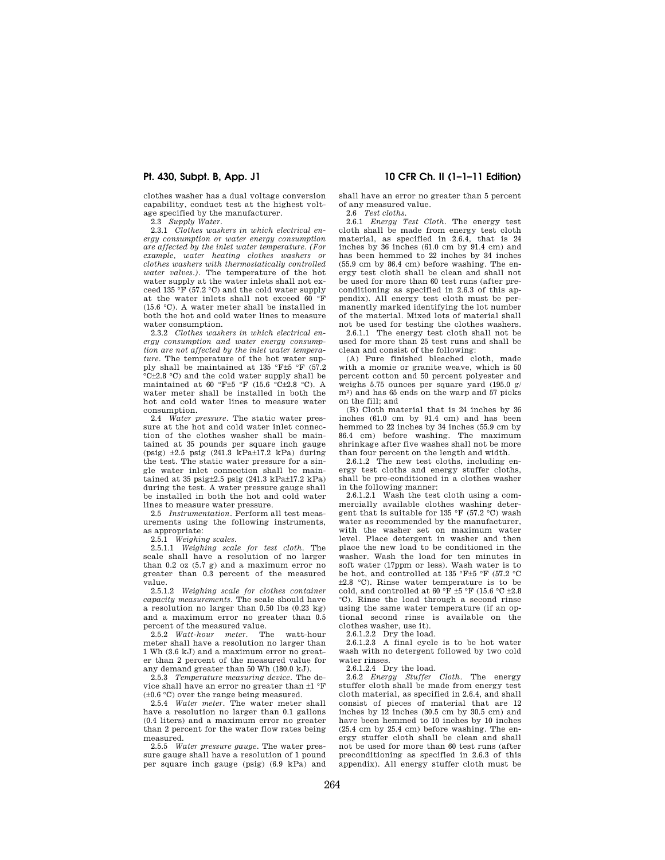clothes washer has a dual voltage conversion capability, conduct test at the highest voltage specified by the manufacturer.

2.3 *Supply Water.* 

2.3.1 *Clothes washers in which electrical energy consumption or water energy consumption are affected by the inlet water temperature. (For example, water heating clothes washers or clothes washers with thermostatically controlled water valves.).* The temperature of the hot water supply at the water inlets shall not exceed 135 °F (57.2 °C) and the cold water supply at the water inlets shall not exceed  $60$ (15.6 °C). A water meter shall be installed in both the hot and cold water lines to measure water consumption.

2.3.2 *Clothes washers in which electrical energy consumption and water energy consumption are not affected by the inlet water tempera*ture. The temperature of the hot water supply shall be maintained at 135 °F±5 °F (57.2 °C±2.8 °C) and the cold water supply shall be maintained at 60 °F $\pm$ 5 °F (15.6 °C $\pm$ 2.8 °C). A water meter shall be installed in both the hot and cold water lines to measure water consumption.

2.4 *Water pressure.* The static water pressure at the hot and cold water inlet connection of the clothes washer shall be maintained at 35 pounds per square inch gauge (psig) ±2.5 psig (241.3 kPa±17.2 kPa) during the test. The static water pressure for a single water inlet connection shall be maintained at 35 psig±2.5 psig (241.3 kPa±17.2 kPa) during the test. A water pressure gauge shall be installed in both the hot and cold water lines to measure water pressure.

2.5 *Instrumentation.* Perform all test measurements using the following instruments, as appropriate:

2.5.1 *Weighing scales.* 

2.5.1.1 *Weighing scale for test cloth.* The scale shall have a resolution of no larger than  $0.2$  oz  $(5.7 \text{ g})$  and a maximum error no greater than 0.3 percent of the measured value.

2.5.1.2 *Weighing scale for clothes container capacity measurements.* The scale should have a resolution no larger than 0.50 lbs (0.23 kg) and a maximum error no greater than 0.5 percent of the measured value.

2.5.2 *Watt-hour meter.* The watt-hour meter shall have a resolution no larger than 1 Wh (3.6 kJ) and a maximum error no greater than 2 percent of the measured value for any demand greater than 50 Wh (180.0 kJ).

2.5.3 *Temperature measuring device.* The device shall have an error no greater than ±1 °F (±0.6 °C) over the range being measured.

2.5.4 *Water meter.* The water meter shall have a resolution no larger than 0.1 gallons (0.4 liters) and a maximum error no greater than 2 percent for the water flow rates being measured.

2.5.5 *Water pressure gauge.* The water pressure gauge shall have a resolution of 1 pound per square inch gauge (psig) (6.9 kPa) and

# **Pt. 430, Subpt. B, App. J1 10 CFR Ch. II (1–1–11 Edition)**

shall have an error no greater than 5 percent of any measured value.

2.6 *Test cloths.*  2.6.1 *Energy Test Cloth.* The energy test cloth shall be made from energy test cloth material, as specified in 2.6.4, that is 24 inches by 36 inches (61.0 cm by 91.4 cm) and has been hemmed to 22 inches by 34 inches (55.9 cm by 86.4 cm) before washing. The energy test cloth shall be clean and shall not be used for more than 60 test runs (after preconditioning as specified in 2.6.3 of this appendix). All energy test cloth must be permanently marked identifying the lot number of the material. Mixed lots of material shall not be used for testing the clothes washers.

2.6.1.1 The energy test cloth shall not be used for more than 25 test runs and shall be clean and consist of the following:

(A) Pure finished bleached cloth, made with a momie or granite weave, which is 50 percent cotton and 50 percent polyester and weighs 5.75 ounces per square yard (195.0 g/ m2) and has 65 ends on the warp and 57 picks on the fill; and

(B) Cloth material that is 24 inches by 36 inches (61.0 cm by 91.4 cm) and has been hemmed to 22 inches by 34 inches (55.9 cm by 86.4 cm) before washing. The maximum shrinkage after five washes shall not be more than four percent on the length and width.

2.6.1.2 The new test cloths, including energy test cloths and energy stuffer cloths, shall be pre-conditioned in a clothes washer in the following manner:

2.6.1.2.1 Wash the test cloth using a commercially available clothes washing detergent that is suitable for 135 °F (57.2 °C) wash water as recommended by the manufacturer, with the washer set on maximum water level. Place detergent in washer and then place the new load to be conditioned in the washer. Wash the load for ten minutes in soft water (17ppm or less). Wash water is to be hot, and controlled at 135 °F±5 °F (57.2 °C ±2.8 °C). Rinse water temperature is to be cold, and controlled at 60 °F  $\pm 5$  °F (15.6 °C  $\pm 2.8$ ) °C). Rinse the load through a second rinse using the same water temperature (if an optional second rinse is available on the clothes washer, use it).

2.6.1.2.2 Dry the load.

2.6.1.2.3 A final cycle is to be hot water wash with no detergent followed by two cold water rinses.

2.6.1.2.4 Dry the load.

2.6.2 *Energy Stuffer Cloth.* The energy stuffer cloth shall be made from energy test cloth material, as specified in 2.6.4, and shall consist of pieces of material that are 12 inches by 12 inches (30.5 cm by 30.5 cm) and have been hemmed to 10 inches by 10 inches (25.4 cm by 25.4 cm) before washing. The energy stuffer cloth shall be clean and shall not be used for more than 60 test runs (after preconditioning as specified in 2.6.3 of this appendix). All energy stuffer cloth must be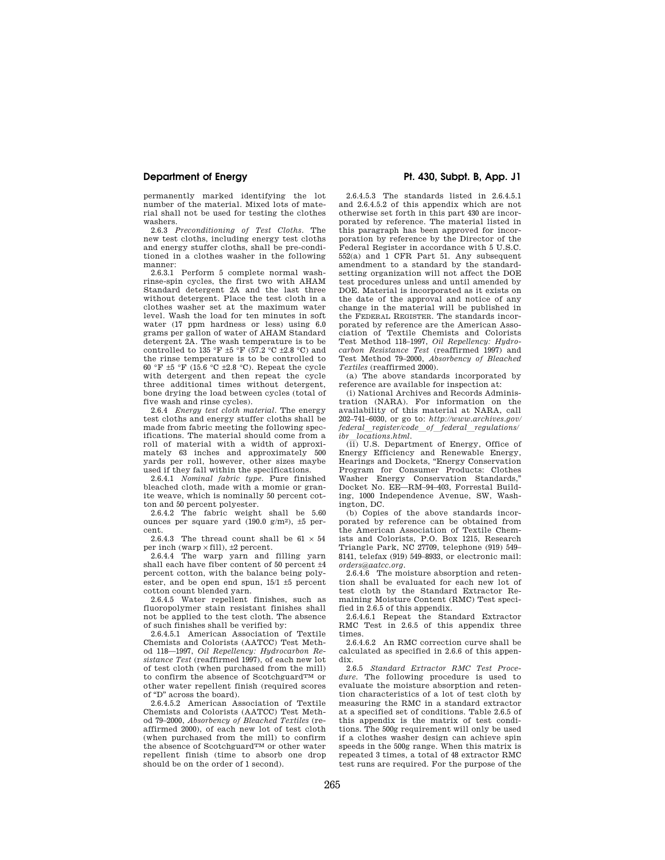permanently marked identifying the lot number of the material. Mixed lots of material shall not be used for testing the clothes washers.

2.6.3 *Preconditioning of Test Cloths.* The new test cloths, including energy test cloths and energy stuffer cloths, shall be pre-conditioned in a clothes washer in the following manner:

2.6.3.1 Perform 5 complete normal washrinse-spin cycles, the first two with AHAM Standard detergent 2A and the last three without detergent. Place the test cloth in a clothes washer set at the maximum water level. Wash the load for ten minutes in soft water (17 ppm hardness or less) using 6.0 grams per gallon of water of AHAM Standard detergent 2A. The wash temperature is to be controlled to 135 °F  $\pm$ 5 °F (57.2 °C  $\pm$ 2.8 °C) and the rinse temperature is to be controlled to 60 °F  $\pm$ 5 °F (15.6 °C  $\pm$ 2.8 °C). Repeat the cycle with detergent and then repeat the cycle three additional times without detergent, bone drying the load between cycles (total of five wash and rinse cycles).

2.6.4 *Energy test cloth material.* The energy test cloths and energy stuffer cloths shall be made from fabric meeting the following specifications. The material should come from a roll of material with a width of approximately 63 inches and approximately 500 yards per roll, however, other sizes maybe used if they fall within the specifications.

2.6.4.1 *Nominal fabric type.* Pure finished bleached cloth, made with a momie or granite weave, which is nominally 50 percent cotton and 50 percent polyester.

2.6.4.2 The fabric weight shall be 5.60 ounces per square yard (190.0 g/m2), ±5 percent.

2.6.4.3 The thread count shall be  $61 \times 54$ per inch (warp × fill), ±2 percent.

2.6.4.4 The warp yarn and filling yarn shall each have fiber content of 50 percent ±4 percent cotton, with the balance being polyester, and be open end spun, 15/1 ±5 percent cotton count blended yarn.

2.6.4.5 Water repellent finishes, such as fluoropolymer stain resistant finishes shall not be applied to the test cloth. The absence of such finishes shall be verified by:

2.6.4.5.1 American Association of Textile Chemists and Colorists (AATCC) Test Method 118—1997, *Oil Repellency: Hydrocarbon Resistance Test* (reaffirmed 1997), of each new lot of test cloth (when purchased from the mill) to confirm the absence of ScotchguardTM or other water repellent finish (required scores of ''D'' across the board).

2.6.4.5.2 American Association of Textile Chemists and Colorists (AATCC) Test Method 79–2000, *Absorbency of Bleached Textiles* (reaffirmed 2000), of each new lot of test cloth (when purchased from the mill) to confirm the absence of ScotchguardTM or other water repellent finish (time to absorb one drop should be on the order of 1 second).

# **Department of Energy Pt. 430, Subpt. B, App. J1**

2.6.4.5.3 The standards listed in 2.6.4.5.1 and 2.6.4.5.2 of this appendix which are not otherwise set forth in this part 430 are incorporated by reference. The material listed in this paragraph has been approved for incorporation by reference by the Director of the Federal Register in accordance with 5 U.S.C. 552(a) and 1 CFR Part 51. Any subsequent amendment to a standard by the standardsetting organization will not affect the DOE test procedures unless and until amended by DOE. Material is incorporated as it exists on the date of the approval and notice of any change in the material will be published in the FEDERAL REGISTER. The standards incorporated by reference are the American Association of Textile Chemists and Colorists Test Method 118–1997, *Oil Repellency: Hydrocarbon Resistance Test* (reaffirmed 1997) and Test Method 79–2000, *Absorbency of Bleached Textiles* (reaffirmed 2000).

(a) The above standards incorporated by reference are available for inspection at:

(i) National Archives and Records Administration (NARA). For information on the availability of this material at NARA, call 202–741–6030, or go to: *http://www.archives.gov/ federal*l*register/code*l*of*l*federal*l*regulations/*   $\overline{i}$ *br*  $locations.html$ .

(ii) U.S. Department of Energy, Office of Energy Efficiency and Renewable Energy, Hearings and Dockets, "Energy Conservation Program for Consumer Products: Clothes Washer Energy Conservation Standards,'' Docket No. EE—RM–94–403, Forrestal Building, 1000 Independence Avenue, SW, Washington, DC.

(b) Copies of the above standards incorporated by reference can be obtained from the American Association of Textile Chemists and Colorists, P.O. Box 1215, Research Triangle Park, NC 27709, telephone (919) 549– 8141, telefax (919) 549–8933, or electronic mail: *orders@aatcc.org.* 

2.6.4.6 The moisture absorption and retention shall be evaluated for each new lot of test cloth by the Standard Extractor Remaining Moisture Content (RMC) Test specified in 2.6.5 of this appendix.

2.6.4.6.1 Repeat the Standard Extractor RMC Test in 2.6.5 of this appendix three times.

2.6.4.6.2 An RMC correction curve shall be calculated as specified in 2.6.6 of this appendix.

2.6.5 *Standard Extractor RMC Test Procedure.* The following procedure is used to evaluate the moisture absorption and retention characteristics of a lot of test cloth by measuring the RMC in a standard extractor at a specified set of conditions. Table 2.6.5 of this appendix is the matrix of test conditions. The 500g requirement will only be used if a clothes washer design can achieve spin speeds in the 500g range. When this matrix is repeated 3 times, a total of 48 extractor RMC test runs are required. For the purpose of the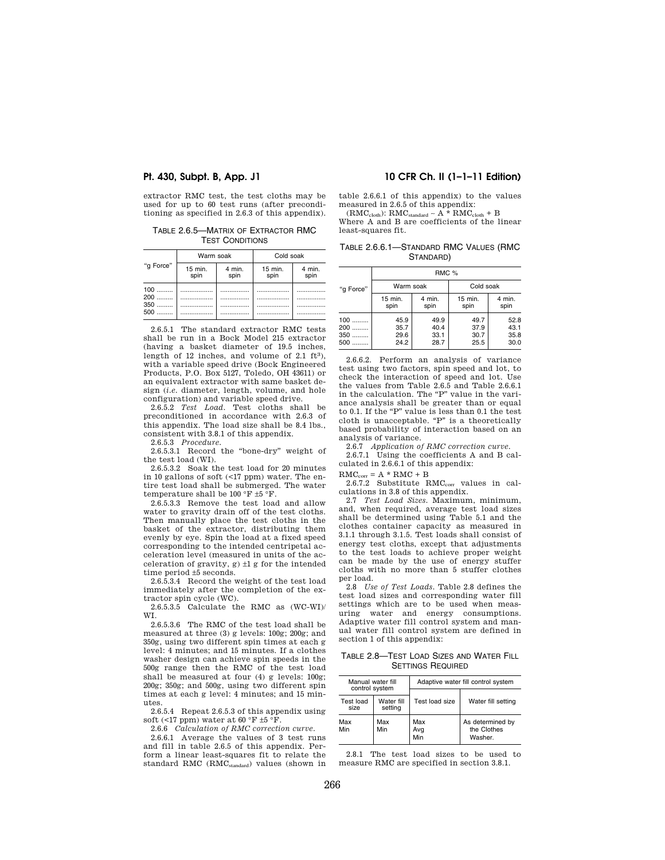extractor RMC test, the test cloths may be used for up to 60 test runs (after preconditioning as specified in 2.6.3 of this appendix).

TABLE 2.6.5—MATRIX OF EXTRACTOR RMC TEST CONDITIONS

|                | Warm soak       |                | Cold soak       |                |  |  |
|----------------|-----------------|----------------|-----------------|----------------|--|--|
| "g Force"      | 15 min.<br>spin | 4 min.<br>spin | 15 min.<br>spin | 4 min.<br>spin |  |  |
| $200$<br>$500$ | $100$           |                |                 |                |  |  |

2.6.5.1 The standard extractor RMC tests shall be run in a Bock Model 215 extractor (having a basket diameter of 19.5 inches, length of  $12$  inches, and volume of  $2.1 \text{ ft}^3$ ), with a variable speed drive (Bock Engineered Products, P.O. Box 5127, Toledo, OH 43611) or an equivalent extractor with same basket design (*i.e.* diameter, length, volume, and hole configuration) and variable speed drive.

2.6.5.2 *Test Load.* Test cloths shall be preconditioned in accordance with 2.6.3 of this appendix. The load size shall be 8.4 lbs., consistent with 3.8.1 of this appendix.

2.6.5.3 *Procedure.* 

2.6.5.3.1 Record the ''bone-dry'' weight of the test load (WI).

2.6.5.3.2 Soak the test load for 20 minutes in 10 gallons of soft (<17 ppm) water. The entire test load shall be submerged. The water temperature shall be 100 °F ±5 °F.

2.6.5.3.3 Remove the test load and allow water to gravity drain off of the test cloths. Then manually place the test cloths in the basket of the extractor, distributing them evenly by eye. Spin the load at a fixed speed corresponding to the intended centripetal acceleration level (measured in units of the acceleration of gravity,  $g) \pm 1 g$  for the intended time period ±5 seconds.

2.6.5.3.4 Record the weight of the test load immediately after the completion of the extractor spin cycle (WC).

2.6.5.3.5 Calculate the RMC as (WC-WI)/ WI.

2.6.5.3.6 The RMC of the test load shall be measured at three (3) g levels: 100g; 200g; and 350g, using two different spin times at each g level: 4 minutes; and 15 minutes. If a clothes washer design can achieve spin speeds in the 500g range then the RMC of the test load shall be measured at four (4) g levels: 100g; 200g; 350g; and 500g, using two different spin times at each g level: 4 minutes; and 15 minutes.

2.6.5.4 Repeat 2.6.5.3 of this appendix using soft (<17 ppm) water at 60 °F  $\pm$ 5 °F.

2.6.6 *Calculation of RMC correction curve.* 

2.6.6.1 Average the values of 3 test runs and fill in table 2.6.5 of this appendix. Perform a linear least-squares fit to relate the standard RMC (RMC<sub>standard</sub>) values (shown in

# **Pt. 430, Subpt. B, App. J1 10 CFR Ch. II (1–1–11 Edition)**

table 2.6.6.1 of this appendix) to the values measured in 2.6.5 of this appendix:

(RMC $_{\rm{cloth}}$ ): RMC $_{\rm{standard}}$  ~ A \* RMC $_{\rm{cloth}}$  + B Where A and B are coefficients of the linear least-squares fit.

TABLE 2.6.6.1—STANDARD RMC VALUES (RMC STANDARD)

| "g Force" | RMC %           |                |                 |                |  |  |  |
|-----------|-----------------|----------------|-----------------|----------------|--|--|--|
|           | Warm soak       |                | Cold soak       |                |  |  |  |
|           | 15 min.<br>spin | 4 min.<br>spin | 15 min.<br>spin | 4 min.<br>spin |  |  |  |
| $100$     | 45.9            | 49.9           | 49.7            | 52.8           |  |  |  |
| $200$     | 35.7            | 40.4           | 37.9            | 43.1           |  |  |  |
| 350       | 29.6            | 33.1           | 30.7            | 35.8           |  |  |  |
| 500       | 24.2            | 28.7           | 25.5            | 30.0           |  |  |  |

2.6.6.2. Perform an analysis of variance test using two factors, spin speed and lot, to check the interaction of speed and lot. Use the values from Table 2.6.5 and Table 2.6.6.1 in the calculation. The "P" value in the variance analysis shall be greater than or equal to 0.1. If the "P" value is less than 0.1 the test cloth is unacceptable. "P" is a theoretically based probability of interaction based on an analysis of variance.

2.6.7 *Application of RMC correction curve.* 

2.6.7.1 Using the coefficients A and B calculated in 2.6.6.1 of this appendix:

 $RMC_{\text{corr}} = A * RMC + B$ <br>2.6.7.2 Substitute RMC<sub>corr</sub> values in calculations in 3.8 of this appendix.

2.7 *Test Load Sizes.* Maximum, minimum, and, when required, average test load sizes shall be determined using Table 5.1 and the clothes container capacity as measured in 3.1.1 through 3.1.5. Test loads shall consist of energy test cloths, except that adjustments to the test loads to achieve proper weight can be made by the use of energy stuffer cloths with no more than 5 stuffer clothes per load.

2.8 *Use of Test Loads.* Table 2.8 defines the test load sizes and corresponding water fill settings which are to be used when measuring water and energy consumptions. Adaptive water fill control system and manual water fill control system are defined in section 1 of this appendix:

TABLE 2.8—TEST LOAD SIZES AND WATER FILL **SETTINGS REQUIRED** 

| Manual water fill<br>control system |                       | Adaptive water fill control system |                                            |  |  |
|-------------------------------------|-----------------------|------------------------------------|--------------------------------------------|--|--|
|                                     |                       |                                    |                                            |  |  |
| Test load<br>size                   | Water fill<br>setting | Test load size                     | Water fill setting                         |  |  |
| Max<br>Min                          | Max<br>Min            | Max<br>Avg<br>Min                  | As determined by<br>the Clothes<br>Washer. |  |  |

2.8.1 The test load sizes to be used to measure RMC are specified in section 3.8.1.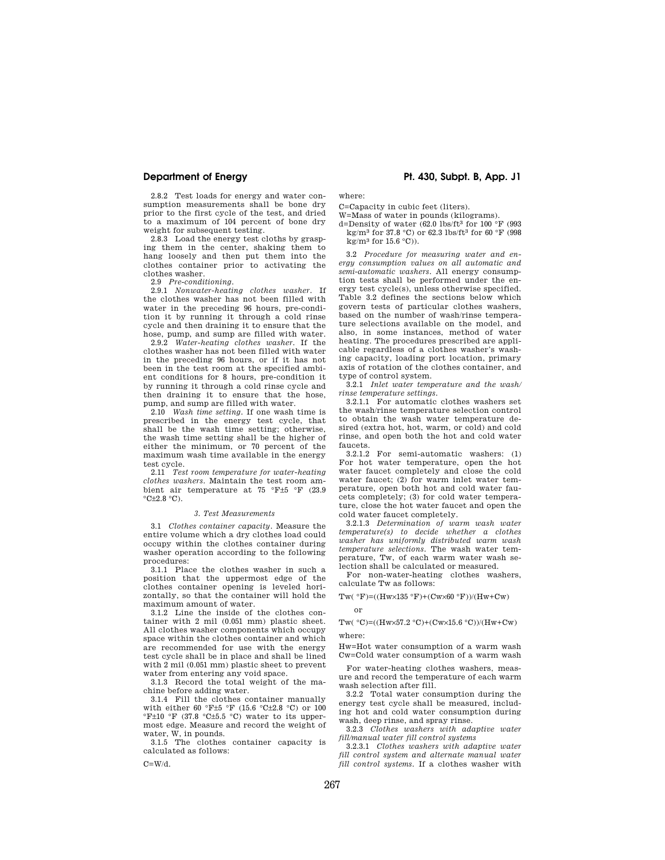2.8.2 Test loads for energy and water consumption measurements shall be bone dry prior to the first cycle of the test, and dried to a maximum of 104 percent of bone dry weight for subsequent testing.

2.8.3 Load the energy test cloths by grasping them in the center, shaking them to hang loosely and then put them into the clothes container prior to activating the clothes washer.

2.9 *Pre-conditioning.* 

2.9.1 *Nonwater-heating clothes washer.* If the clothes washer has not been filled with water in the preceding 96 hours, pre-condition it by running it through a cold rinse cycle and then draining it to ensure that the hose, pump, and sump are filled with water.

2.9.2 *Water-heating clothes washer.* If the clothes washer has not been filled with water in the preceding 96 hours, or if it has not been in the test room at the specified ambient conditions for 8 hours, pre-condition it by running it through a cold rinse cycle and then draining it to ensure that the hose, pump, and sump are filled with water.

2.10 *Wash time setting.* If one wash time is prescribed in the energy test cycle, that shall be the wash time setting; otherwise, the wash time setting shall be the higher of either the minimum, or 70 percent of the maximum wash time available in the energy test cycle.

2.11 *Test room temperature for water-heating clothes washers.* Maintain the test room ambient air temperature at 75 °F±5 °F (23.9  $\mathrm{^{\circ}C}$ +2.8  $\mathrm{^{\circ}C}$ ).

## *3. Test Measurements*

3.1 *Clothes container capacity.* Measure the entire volume which a dry clothes load could occupy within the clothes container during washer operation according to the following procedures:

3.1.1 Place the clothes washer in such a position that the uppermost edge of the clothes container opening is leveled horizontally, so that the container will hold the maximum amount of water.

3.1.2 Line the inside of the clothes container with 2 mil (0.051 mm) plastic sheet. All clothes washer components which occupy space within the clothes container and which are recommended for use with the energy test cycle shall be in place and shall be lined with 2 mil (0.051 mm) plastic sheet to prevent water from entering any void space.

3.1.3 Record the total weight of the machine before adding water.

3.1.4 Fill the clothes container manually with either 60 °F±5 °F (15.6 °C±2.8 °C) or 100  $\mathrm{F}$ ±10 °F (37.8 °C±5.5 °C) water to its uppermost edge. Measure and record the weight of water, W, in pounds.

3.1.5 The clothes container capacity is calculated as follows:

C=W/d.

# **Department of Energy Pt. 430, Subpt. B, App. J1**

where:

C=Capacity in cubic feet (liters).

W=Mass of water in pounds (kilograms).

d=Density of water  $(62.0 \text{ lbs/ft}^3 \text{ for } 100 \text{ °F } (993$ kg/m3 for 37.8 °C) or 62.3 lbs/ft3 for 60 °F (998 kg/m<sup>3</sup> for  $15.6 \text{°C}$ ).

3.2 *Procedure for measuring water and energy consumption values on all automatic and semi-automatic washers.* All energy consumption tests shall be performed under the energy test cycle(s), unless otherwise specified. Table 3.2 defines the sections below which govern tests of particular clothes washers, based on the number of wash/rinse temperature selections available on the model, and also, in some instances, method of water heating. The procedures prescribed are applicable regardless of a clothes washer's washing capacity, loading port location, primary axis of rotation of the clothes container, and type of control system.

3.2.1 *Inlet water temperature and the wash/ rinse temperature settings.* 

3.2.1.1 For automatic clothes washers set the wash/rinse temperature selection control to obtain the wash water temperature desired (extra hot, hot, warm, or cold) and cold rinse, and open both the hot and cold water faucets.

3.2.1.2 For semi-automatic washers: (1) For hot water temperature, open the hot water faucet completely and close the cold water faucet; (2) for warm inlet water temperature, open both hot and cold water faucets completely; (3) for cold water temperature, close the hot water faucet and open the cold water faucet completely.

3.2.1.3 *Determination of warm wash water temperature(s) to decide whether a clothes washer has uniformly distributed warm wash temperature selections.* The wash water temperature, Tw, of each warm water wash selection shall be calculated or measured.

For non-water-heating clothes washers, calculate Tw as follows:

Tw( $^{\circ}$ F)=((Hw×135  $^{\circ}$ F)+(Cw×60  $^{\circ}$ F))/(Hw+Cw)

or

# Tw( °C)=((Hw×57.2 °C)+(Cw×15.6 °C))/(Hw+Cw) where:

Hw=Hot water consumption of a warm wash Cw=Cold water consumption of a warm wash

For water-heating clothes washers, measure and record the temperature of each warm wash selection after fill.

3.2.2 Total water consumption during the energy test cycle shall be measured, including hot and cold water consumption during wash, deep rinse, and spray rinse.

3.2.3 *Clothes washers with adaptive water fill/manual water fill control systems* 

3.2.3.1 *Clothes washers with adaptive water fill control system and alternate manual water fill control systems.* If a clothes washer with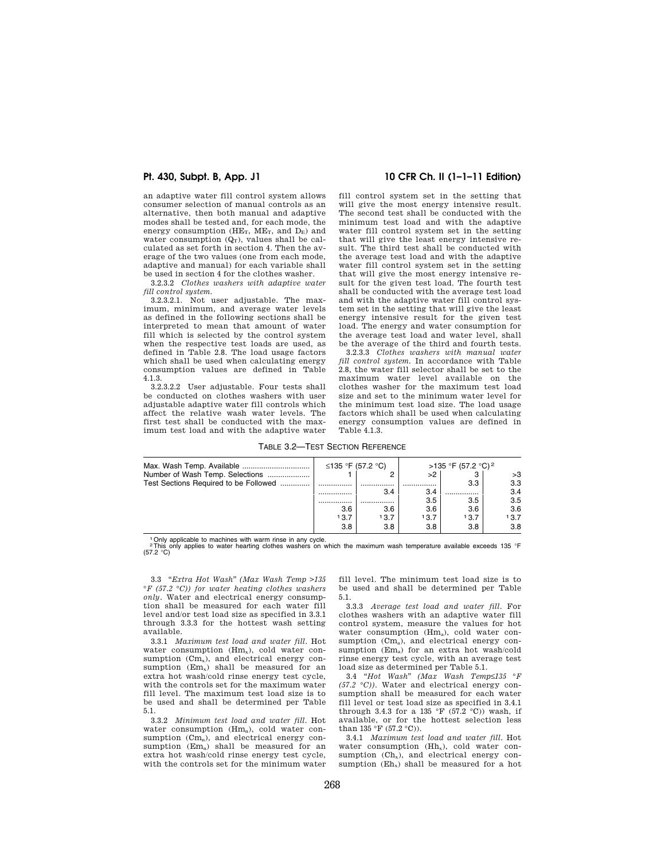an adaptive water fill control system allows consumer selection of manual controls as an alternative, then both manual and adaptive modes shall be tested and, for each mode, the energy consumption (HE<sub>T</sub>, ME<sub>T</sub>, and  $D_E$ ) and water consumption  $(Q_T)$ , values shall be calculated as set forth in section 4. Then the average of the two values (one from each mode, adaptive and manual) for each variable shall be used in section 4 for the clothes washer.

3.2.3.2 *Clothes washers with adaptive water fill control system.* 

3.2.3.2.1. Not user adjustable. The maximum, minimum, and average water levels as defined in the following sections shall be interpreted to mean that amount of water fill which is selected by the control system when the respective test loads are used, as defined in Table 2.8. The load usage factors which shall be used when calculating energy consumption values are defined in Table 4.1.3.

3.2.3.2.2 User adjustable. Four tests shall be conducted on clothes washers with user adjustable adaptive water fill controls which affect the relative wash water levels. The first test shall be conducted with the maximum test load and with the adaptive water

# **Pt. 430, Subpt. B, App. J1 10 CFR Ch. II (1–1–11 Edition)**

fill control system set in the setting that will give the most energy intensive result. The second test shall be conducted with the minimum test load and with the adaptive water fill control system set in the setting that will give the least energy intensive result. The third test shall be conducted with the average test load and with the adaptive water fill control system set in the setting that will give the most energy intensive result for the given test load. The fourth test shall be conducted with the average test load and with the adaptive water fill control system set in the setting that will give the least energy intensive result for the given test load. The energy and water consumption for the average test load and water level, shall be the average of the third and fourth tests.

3.2.3.3 *Clothes washers with manual water fill control system.* In accordance with Table 2.8, the water fill selector shall be set to the maximum water level available on the clothes washer for the maximum test load size and set to the minimum water level for the minimum test load size. The load usage factors which shall be used when calculating energy consumption values are defined in Table 4.1.3.

TABLE 3.2—TEST SECTION REFERENCE

|                                       | ≤135 °F (57.2 °C) |      | >135 °F (57.2 °C) <sup>2</sup> |      |      |  |
|---------------------------------------|-------------------|------|--------------------------------|------|------|--|
| Number of Wash Temp. Selections       |                   |      | >2                             |      | >3   |  |
| Test Sections Required to be Followed |                   |      |                                |      | 3.3  |  |
|                                       |                   | 3.4  | 3.4                            |      | 3.4  |  |
|                                       | .                 |      | 3.5                            | 3.5  | 3.5  |  |
|                                       | 3.6               | 3.6  | 3.6                            | 3.6  | 3.6  |  |
|                                       | 13.7              | 13.7 | 13.7                           | 13.7 | 13.7 |  |
|                                       | 3.8               | 3.8  | 3.8                            | 3.8  | 3.8  |  |

1Only applicable to machines with warm rinse in any cycle.

2This only applies to water hearting clothes washers on which the maximum wash temperature available exceeds 135 °F<br>(57.2 °C)

3.3 ''*Extra Hot Wash*'' *(Max Wash Temp >135*  °*F (57.2* °*C)) for water heating clothes washers only.* Water and electrical energy consumption shall be measured for each water fill level and/or test load size as specified in 3.3.1 through 3.3.3 for the hottest wash setting available.

3.3.1 *Maximum test load and water fill.* Hot water consumption (Hmx), cold water consumption (Cm<sub>x</sub>), and electrical energy consumption  $(Em_x)$  shall be measured for an extra hot wash/cold rinse energy test cycle, with the controls set for the maximum water fill level. The maximum test load size is to be used and shall be determined per Table 5.1.

3.3.2 *Minimum test load and water fill.* Hot water consumption (Hm<sub>n</sub>), cold water consumption  $(Cm_n)$ , and electrical energy consumption  $(Em_n)$  shall be measured for an extra hot wash/cold rinse energy test cycle, with the controls set for the minimum water

fill level. The minimum test load size is to be used and shall be determined per Table 5.1.

3.3.3 *Average test load and water fill.* For clothes washers with an adaptive water fill control system, measure the values for hot water consumption (Hma), cold water consumption (Cma), and electrical energy consumption (Ema) for an extra hot wash/cold rinse energy test cycle, with an average test load size as determined per Table 5.1.

3.4 ''*Hot Wash*'' *(Max Wash Temp*≤*135* °*F (57.2* °*C)).* Water and electrical energy consumption shall be measured for each water fill level or test load size as specified in 3.4.1 through 3.4.3 for a 135 °F (57.2 °C)) wash, if available, or for the hottest selection less than 135 °F (57.2 °C)).

3.4.1 *Maximum test load and water fill.* Hot water consumption  $(Hh<sub>x</sub>)$ , cold water consumption  $(Ch_x)$ , and electrical energy consumption  $(Eh_x)$  shall be measured for a hot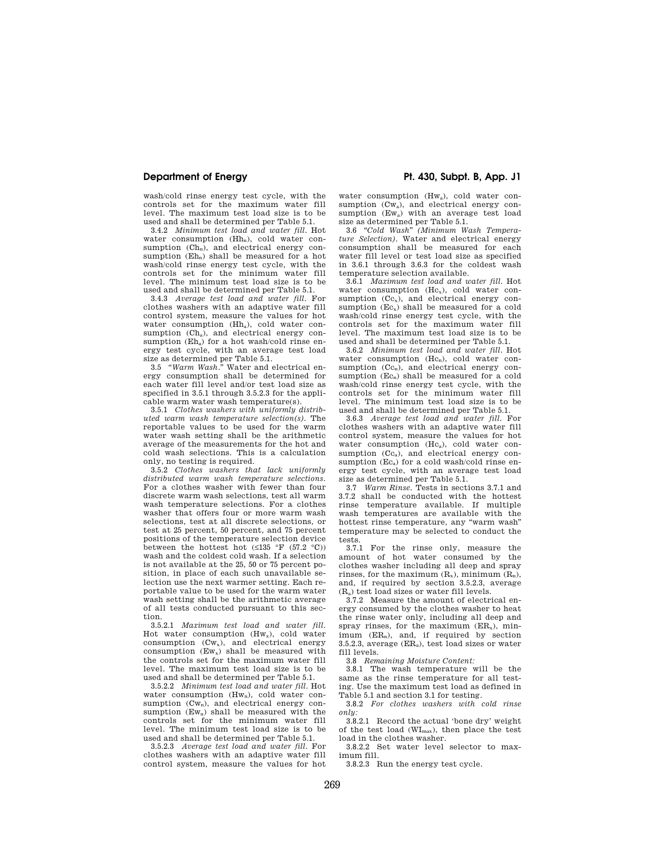wash/cold rinse energy test cycle, with the controls set for the maximum water fill level. The maximum test load size is to be used and shall be determined per Table 5.1.

3.4.2 *Minimum test load and water fill.* Hot water consumption (Hhn), cold water consumption  $(Ch_n)$ , and electrical energy consumption  $(Eh_n)$  shall be measured for a hot wash/cold rinse energy test cycle, with the controls set for the minimum water fill level. The minimum test load size is to be used and shall be determined per Table 5.1.

3.4.3 *Average test load and water fill.* For clothes washers with an adaptive water fill control system, measure the values for hot water consumption (Hh<sub>a</sub>), cold water consumption  $(Ch_a)$ , and electrical energy consumption  $(Eh_a)$  for a hot wash/cold rinse energy test cycle, with an average test load size as determined per Table 5.1. 3.5 ''*Warm Wash.*'' Water and electrical en-

ergy consumption shall be determined for each water fill level and/or test load size as specified in 3.5.1 through 3.5.2.3 for the applicable warm water wash temperature(s).

3.5.1 *Clothes washers with uniformly distributed warm wash temperature selection(s).* The reportable values to be used for the warm water wash setting shall be the arithmetic average of the measurements for the hot and cold wash selections. This is a calculation only, no testing is required.

3.5.2 *Clothes washers that lack uniformly distributed warm wash temperature selections.*  For a clothes washer with fewer than four discrete warm wash selections, test all warm wash temperature selections. For a clothes washer that offers four or more warm wash selections, test at all discrete selections, or test at 25 percent, 50 percent, and 75 percent positions of the temperature selection device between the hottest hot  $(\leq 135 \degree F (57.2 \degree C))$ wash and the coldest cold wash. If a selection is not available at the 25, 50 or 75 percent position, in place of each such unavailable selection use the next warmer setting. Each reportable value to be used for the warm water wash setting shall be the arithmetic average of all tests conducted pursuant to this section.

3.5.2.1 *Maximum test load and water fill.*  Hot water consumption  $(Hw_x)$ , cold water consumption  $(Cw_x)$ , and electrical energy consumption  $(Ew_x)$  shall be measured with the controls set for the maximum water fill level. The maximum test load size is to be used and shall be determined per Table 5.1.

3.5.2.2 *Minimum test load and water fill.* Hot water consumption (Hw<sub>n</sub>), cold water consumption  $(Cw_n)$ , and electrical energy consumption  $(Ew_n)$  shall be measured with the controls set for the minimum water fill level. The minimum test load size is to be used and shall be determined per Table 5.1.

3.5.2.3 *Average test load and water fill.* For clothes washers with an adaptive water fill control system, measure the values for hot

**Department of Energy Pt. 430, Subpt. B, App. J1** 

water consumption (Hw<sub>a</sub>), cold water consumption  $(Cw_a)$ , and electrical energy consumption (Ewa) with an average test load

size as determined per Table 5.1. 3.6 ''*Cold Wash*'' *(Minimum Wash Temperature Selection).* Water and electrical energy consumption shall be measured for each water fill level or test load size as specified in 3.6.1 through 3.6.3 for the coldest wash temperature selection available.

3.6.1 *Maximum test load and water fill.* Hot water consumption  $(He_x)$ , cold water consumption  $(Cc_x)$ , and electrical energy consumption  $(Ec_{x})$  shall be measured for a cold wash/cold rinse energy test cycle, with the controls set for the maximum water fill level. The maximum test load size is to be used and shall be determined per Table 5.1.

3.6.2 *Minimum test load and water fill.* Hot water consumption  $(He<sub>n</sub>)$ , cold water consumption  $(Cc_n)$ , and electrical energy consumption  $(EC_n)$  shall be measured for a cold wash/cold rinse energy test cycle, with the controls set for the minimum water fill level. The minimum test load size is to be used and shall be determined per Table 5.1.

3.6.3 *Average test load and water fill.* For clothes washers with an adaptive water fill control system, measure the values for hot water consumption  $(He_a)$ , cold water consumption  $(Cc_a)$ , and electrical energy consumption  $(Ec_a)$  for a cold wash/cold rinse energy test cycle, with an average test load size as determined per Table 5.1.

3.7 *Warm Rinse.* Tests in sections 3.7.1 and 3.7.2 shall be conducted with the hottest rinse temperature available. If multiple wash temperatures are available with the hottest rinse temperature, any ''warm wash'' temperature may be selected to conduct the tests.

3.7.1 For the rinse only, measure the amount of hot water consumed by the clothes washer including all deep and spray rinses, for the maximum  $(R_x)$ , minimum  $(R_n)$ , and, if required by section 3.5.2.3, average (Ra) test load sizes or water fill levels.

3.7.2 Measure the amount of electrical energy consumed by the clothes washer to heat the rinse water only, including all deep and spray rinses, for the maximum  $(ER<sub>x</sub>)$ , minimum  $(ER_n)$ , and, if required by section 3.5.2.3, average (ERa), test load sizes or water fill levels.

3.8 *Remaining Moisture Content:* 

3.8.1 The wash temperature will be the same as the rinse temperature for all testing. Use the maximum test load as defined in Table 5.1 and section 3.1 for testing.

3.8.2 *For clothes washers with cold rinse only:* 

3.8.2.1 Record the actual 'bone dry' weight of the test load (WImax), then place the test load in the clothes washer.

3.8.2.2 Set water level selector to maximum fill.

3.8.2.3 Run the energy test cycle.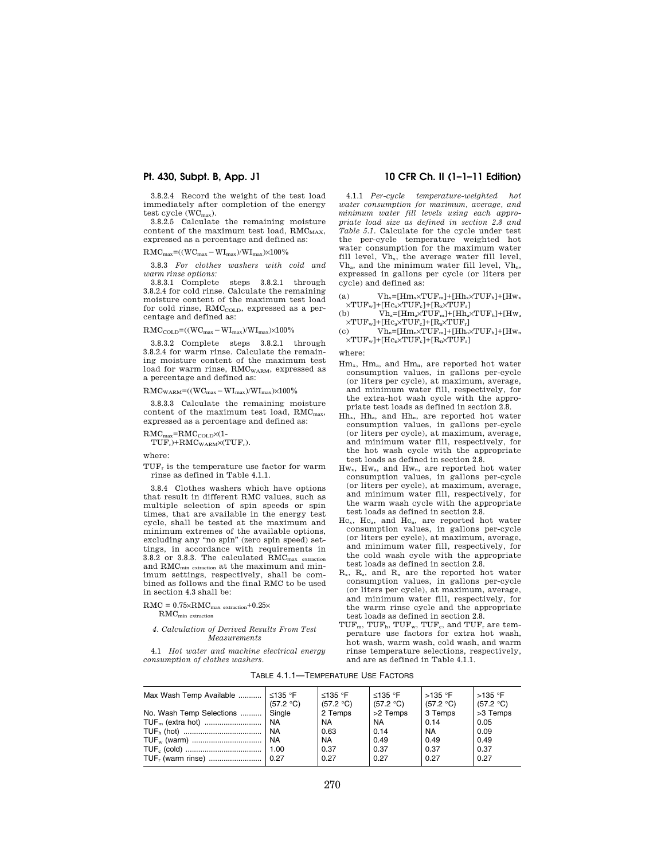3.8.2.4 Record the weight of the test load immediately after completion of the energy test cycle  $(WC_{max})$ .

3.8.2.5 Calculate the remaining moisture content of the maximum test load, RMCMAX, expressed as a percentage and defined as:

 $\mathrm{RMC}_{\mathrm{max}}$ =((WC<sub>max</sub> – WI<sub>max</sub>)/WI<sub>max</sub>)×100%

3.8.3 *For clothes washers with cold and warm rinse options:* 

3.8.3.1 Complete steps 3.8.2.1 through 3.8.2.4 for cold rinse. Calculate the remaining moisture content of the maximum test load for cold rinse, RMC<sub>COLD</sub>, expressed as a percentage and defined as:

 $RMC<sub>COLD</sub> = ((WC<sub>max</sub> - WI<sub>max</sub>)/WI<sub>max</sub>) \times 100%$ 

3.8.3.2 Complete steps 3.8.2.1 through 3.8.2.4 for warm rinse. Calculate the remaining moisture content of the maximum test load for warm rinse, RMC<sub>WARM</sub>, expressed as a percentage and defined as:

 $RMC_{WARM}=((WC_{max}-WI_{max})/WI_{max})\times100\%$ 

3.8.3.3 Calculate the remaining moisture content of the maximum test load, RMC<sub>max</sub>, expressed as a percentage and defined as:

 $RMC<sub>max</sub>=RMC<sub>COLD</sub>×(1-$ 

 $\label{eq:TVF} \text{TUF}_r) {+} \text{RMC}_{\text{WARM}} {\times} (\text{TUF}_r).$ 

where:

 $\text{TUF}_\mathrm{r}$  is the temperature use factor for warm rinse as defined in Table 4.1.1.

3.8.4 Clothes washers which have options that result in different RMC values, such as multiple selection of spin speeds or spin times, that are available in the energy test cycle, shall be tested at the maximum and minimum extremes of the available options, excluding any "no spin" (zero spin speed) settings, in accordance with requirements in 3.8.2 or 3.8.3. The calculated RMCmax extraction and  $\rm RMC_{min}$   $\rm_{extraction}$  at the maximum and minimum settings, respectively, shall be combined as follows and the final RMC to be used in section 4.3 shall be:

 $\mathrm{RMC} = 0.75 \!\!\times\!\! \mathrm{RMC}_{\mathrm{max\; extraction}} {+0.25}\!\times\!$  $\mathrm{RMC}_{\mathrm{min\;extraction}}$ 

## *4. Calculation of Derived Results From Test Measurements*

4.1 *Hot water and machine electrical energy consumption of clothes washers.* 

# **Pt. 430, Subpt. B, App. J1 10 CFR Ch. II (1–1–11 Edition)**

4.1.1 *Per-cycle temperature-weighted hot water consumption for maximum, average, and minimum water fill levels using each appropriate load size as defined in section 2.8 and Table 5.1.* Calculate for the cycle under test the per-cycle temperature weighted hot water consumption for the maximum water fill level,  $Vh<sub>x</sub>$ , the average water fill level,  $V_{n}$ , and the minimum water fill level,  $V_{n}$ , expressed in gallons per cycle (or liters per cycle) and defined as:

(a)  $Vh_x=[Hm_x\times TUF_m]+[Hh_x\times TUF_h]+[Hw_x$  $\times \text{TUF}_w$ ]+[H $\text{c}_x \times \text{TUF}_c$ ]+[R $_x \times \text{TUF}_r$ ]

(b)  $Vh_a=[Hm_a\times TUF_m]+[Hh_a\times TUF_h]+[Hw_a$  $\verb+XTUF_w]+[\text{Hc}_a\!\!\times\!\!\text{TUF}_c]+[\text{R}_a\!\!\times\!\!\text{TUF}_r]$ 

 $\text{(c)} \hspace{1cm} \text{Vh}_\text{n} \text{=} [\text{Hm}_{\text{n}} \text{\texttt{\texttt{\texttt{X}}} } \text{TUF}_{\text{m}}] \text{+} [\text{Hh}_{\text{n}} \text{\texttt{\texttt{X}}} \text{TUF}_{\text{h}}] \text{+} [\text{Hw}_{\text{n}}$  $\times TUF_w]+[HC_n\times TUF_c]+[R_n\times TUF_r]$ 

where:

- Hmx, Hma, and Hmn, are reported hot water consumption values, in gallons per-cycle (or liters per cycle), at maximum, average, and minimum water fill, respectively, for the extra-hot wash cycle with the appropriate test loads as defined in section 2.8.
- $Hh<sub>x</sub>$ ,  $Hh<sub>a</sub>$ , and  $Hh<sub>n</sub>$ , are reported hot water consumption values, in gallons per-cycle (or liters per cycle), at maximum, average, and minimum water fill, respectively, for the hot wash cycle with the appropriate test loads as defined in section 2.8.
- Hwx, Hwa, and Hwn, are reported hot water consumption values, in gallons per-cycle (or liters per cycle), at maximum, average, and minimum water fill, respectively, for the warm wash cycle with the appropriate test loads as defined in section 2.8.
- $\rm{He}_{x}$ ,  $\rm{He}_{a}$ , and  $\rm{He}_{n}$ , are reported hot water consumption values, in gallons per-cycle (or liters per cycle), at maximum, average, and minimum water fill, respectively, for the cold wash cycle with the appropriate test loads as defined in section 2.8.
- Rx, Ra, and R<sup>n</sup> are the reported hot water consumption values, in gallons per-cycle (or liters per cycle), at maximum, average, and minimum water fill, respectively, for the warm rinse cycle and the appropriate test loads as defined in section 2.8.
- $TUF_m$ ,  $TUF_h$ ,  $TUF_w$ ,  $TUF_c$ , and  $TUF_r$  are temperature use factors for extra hot wash, hot wash, warm wash, cold wash, and warm rinse temperature selections, respectively, and are as defined in Table 4.1.1.

TABLE 4.1.1—TEMPERATURE USE FACTORS

| Max Wash Temp Available $\leq 135$ °F | (57.2 °C) | ≤135 °F<br>(57.2 °C) | $<$ 135 °F<br>(57.2 °C) | $>135$ °F<br>(57.2 °C) | $>135$ °F<br>(57.2 °C) |
|---------------------------------------|-----------|----------------------|-------------------------|------------------------|------------------------|
| No. Wash Temp Selections              | Single    | 2 Temps              | >2 Temps                | 3 Temps                | >3 Temps               |
|                                       | l NA      | <b>NA</b>            | <b>NA</b>               | 0.14                   | 0.05                   |
|                                       |           | 0.63                 | 0.14                    | ` NA                   | 0.09                   |
|                                       | l NA      | <b>NA</b>            | 0.49                    | 0.49                   | 0.49                   |
|                                       |           | 0.37                 | 0.37                    | 0.37                   | 0.37                   |
|                                       |           | 0.27                 | 0.27                    | 0.27                   | 0.27                   |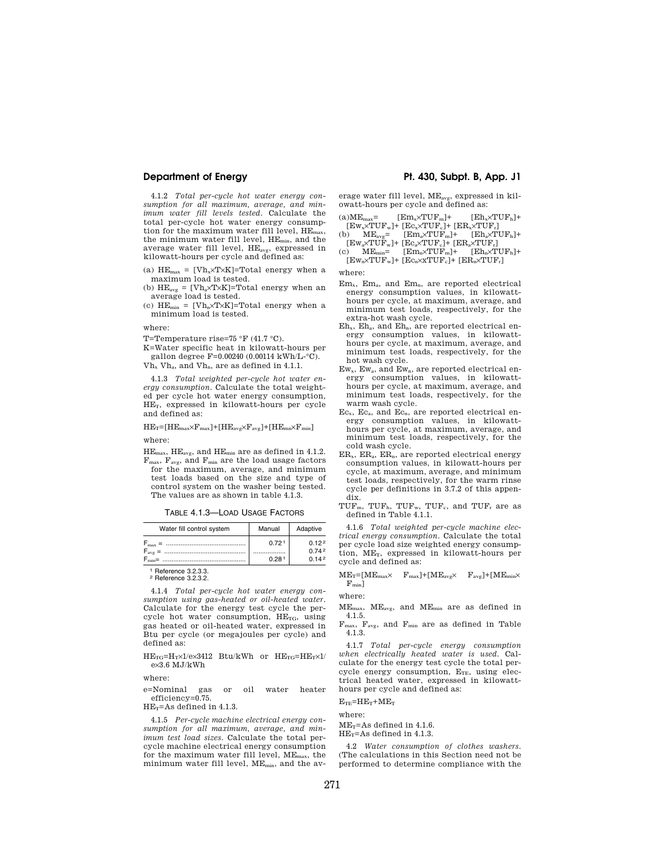4.1.2 *Total per-cycle hot water energy consumption for all maximum, average, and minimum water fill levels tested.* Calculate the total per-cycle hot water energy consumption for the maximum water fill level, HEmax, the minimum water fill level, HE<sub>min</sub>, and the average water fill level, HEavg, expressed in kilowatt-hours per cycle and defined as:

(a)  $HE_{max} = [Vh_x \times T \times K] = Total energy when a$ maximum load is tested.

(b)  $HE_{avg} = [Vh_a \times T \times K] = Total energy when an$ average load is tested.

(c)  $HE_{min} = [Vh_n \times T \times K] = Total energy when a$ minimum load is tested.

where:

T=Temperature rise=75 °F (41.7 °C).

K=Water specific heat in kilowatt-hours per gallon degree F=0.00240 (0.00114 kWh/L-°C).

 $Vh_x Vh_a$ , and  $Vh_n$ , are as defined in 4.1.1.

4.1.3 *Total weighted per-cycle hot water energy consumption.* Calculate the total weighted per cycle hot water energy consumption, HET, expressed in kilowatt-hours per cycle and defined as:

 $HE_T=[HE_{max}\times F_{max}]+[HE_{avg}\times F_{avg}]+[HE_{mn}\times F_{min}]$ 

where:

 $HE<sub>max</sub>$ ,  $HE<sub>avg</sub>$ , and  $HE<sub>min</sub>$  are as defined in 4.1.2.  $F_{\text{max}}$ ,  $F_{\text{avg}}$ , and  $F_{\text{min}}$  are the load usage factors for the maximum, average, and minimum test loads based on the size and type of control system on the washer being tested. The values are as shown in table 4.1.3.

| Water fill control system | Manual            | Adaptive          |
|---------------------------|-------------------|-------------------|
|                           | 0.721             | 0.122<br>0.742    |
| $F_{\text{min}}=$         | 0.28 <sup>1</sup> | 0.14 <sup>2</sup> |
| 1 Reference 3233          |                   |                   |

2 Reference 3.2.3.2.

4.1.4 *Total per-cycle hot water energy consumption using gas-heated or oil-heated water.*  Calculate for the energy test cycle the percycle hot water consumption.  $HE_{TG}$ , using gas heated or oil-heated water, expressed in Btu per cycle (or megajoules per cycle) and defined as:

 $HE_{TG} = H_T \times 1/e \times 3412$  Btu/kWh or  $HE_{TG} = HE_T \times 1$ / e×3.6 MJ/kWh

where:

e=Nominal gas or oil water heater efficiency=0.75.

 $HE$ <sup>r</sup>=As defined in 4.1.3.

4.1.5 *Per-cycle machine electrical energy consumption for all maximum, average, and minimum test load sizes.* Calculate the total percycle machine electrical energy consumption for the maximum water fill level,  $ME<sub>max</sub>$ , the minimum water fill level, MEmin, and the av-

# **Department of Energy Pt. 430, Subpt. B, App. J1**

erage water fill level, MEavg, expressed in kilowatt-hours per cycle and defined as:

- $(a)ME_{max} = \quad \text{[Em_x\times TUF_m]} + \quad \text{[Eh_x\times TUF_h]} +$  $\begin{bmatrix} \text{EW}_\text{x}\text{-}\text{TUF}_\text{w}\text{] + } [\text{Ec}_\text{x}\text{-}\text{TUF}_\text{c}] + [\text{ER}_\text{x}\text{-}\text{TUF}_\text{r}] + \ \text{(b)} \qquad \text{ME}_{\text{avg}} = \qquad [\text{Em}_\text{a}\text{-}\text{TUF}_\text{m}] + \qquad [\text{Eh}_\text{a}\text{-}\text{TUF}_\text{h}] + \end{bmatrix}$
- $[Em_a \times TUF_m]+$  $[\text{E}W_a \times T \text{U} \bar{\text{F}}_w] + [\text{E}C_a \times T \text{U} \text{F}_c] + [\text{E}R_a \times T \text{U} \text{F}_r]$ <br>(c)  $\text{ME}_{\text{min}} = [\text{Em}_n \times T \text{U} \text{F}_m] + [\text{E}R_a \times T \text{U} \text{F}_n] +$
- $[Em_{n} \times TUF_{m}]+$  $[\mathrm{E} w_{\mathrm{n}} \!\!\times \!\! \mathrm{T} \mathrm{U} \mathrm{F}_{\mathrm{w}}] \!+\, [\mathrm{E} \mathrm{C}_{\mathrm{n}} \!\!\times \!\! \mathrm{T} \mathrm{U} \mathrm{F}_{\mathrm{c}}] \!+\, [\mathrm{E} \mathrm{R}_{\mathrm{n}} \!\!\times \!\! \mathrm{T} \mathrm{U} \mathrm{F}_{\mathrm{r}}]$

where:

- $Em<sub>x</sub>$ ,  $Em<sub>a</sub>$ , and  $Em<sub>n</sub>$ , are reported electrical energy consumption values, in kilowatthours per cycle, at maximum, average, and minimum test loads, respectively, for the extra-hot wash cycle.
- Ehx, Eha, and Ehn, are reported electrical energy consumption values, in kilowatthours per cycle, at maximum, average, and minimum test loads, respectively, for the hot wash cycle.
- Ewx, Ewa, and Ewn, are reported electrical energy consumption values, in kilowatthours per cycle, at maximum, average, and minimum test loads, respectively, for the warm wash cycle.
- Ecx, Eca, and Ecn, are reported electrical energy consumption values, in kilowatthours per cycle, at maximum, average, and minimum test loads, respectively, for the cold wash cycle.
- $ER_x$ ,  $ER_a$ ,  $ER_n$ , are reported electrical energy consumption values, in kilowatt-hours per cycle, at maximum, average, and minimum test loads, respectively, for the warm rinse cycle per definitions in 3.7.2 of this appendix.
- $\text{TUF}_\text{m}, \ \text{TUF}_\text{h}, \ \text{TUF}_\text{w}, \ \text{TUF}_\text{c}, \ \text{and} \ \text{TUF}_\text{r}$  are as defined in Table 4.1.1.

4.1.6 *Total weighted per-cycle machine electrical energy consumption.* Calculate the total per cycle load size weighted energy consumption, MET, expressed in kilowatt-hours per cycle and defined as:

 $ME_T=[ME_{max}\times$   $F_{max}]+[ME_{avg}\times$   $F_{avg}]+[ME_{min}\times$  $\mathbf{F}_{\text{min}}]$ 

where:

MEmax, MEavg, and MEmin are as defined in 4.1.5.

 $F_{\text{max}}$ ,  $F_{\text{avg}}$ , and  $F_{\text{min}}$  are as defined in Table 4.1.3.

4.1.7 *Total per-cycle energy consumption when electrically heated water is used.* Calculate for the energy test cycle the total percycle energy consumption,  $E_{TE}$ , using electrical heated water, expressed in kilowatthours per cycle and defined as:

 $E_{TE}$ =H $E_T$ +M $E_T$ 

where:

 $ME_T = As defined in 4.1.6.$  $HE$ <sup>-As defined in 4.1.3.</sup>

4.2 *Water consumption of clothes washers.*  (The calculations in this Section need not be performed to determine compliance with the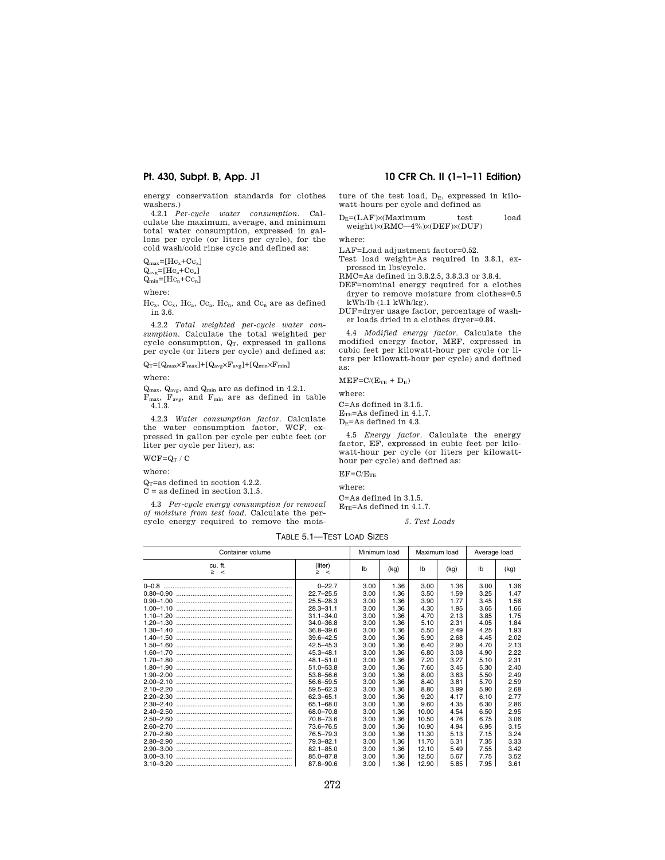energy conservation standards for clothes washers.)

4.2.1 *Per-cycle water consumption.* Calculate the maximum, average, and minimum total water consumption, expressed in gallons per cycle (or liters per cycle), for the cold wash/cold rinse cycle and defined as:

 $_{\text{max}}=[\text{Hc}_{\text{x}}+\text{Cc}_{\text{x}}]$  $Q_{avg}$ =[ $HC_a$ + $Cc_a$ ]  $Q_{\min}=[HC_n+CC_n]$ 

where:

 $\text{HC}_x$ ,  $\text{Cc}_x$ ,  $\text{HC}_a$ ,  $\text{Cc}_a$ ,  $\text{HC}_a$ , and  $\text{Cc}_a$  are as defined in 3.6.

4.2.2 *Total weighted per-cycle water consumption.* Calculate the total weighted per cycle consumption,  $Q_T$ , expressed in gallons per cycle (or liters per cycle) and defined as:

 $\mathbf{Q}_\text{T}{=}\llbracket \mathbf{Q}_{\text{max}}{\times}\mathbf{F}_{\text{max}}\rrbracket{+}\llbracket \mathbf{Q}_{\text{avg}}{\times}\mathbf{F}_{\text{avg}}\rrbracket{+}\llbracket \mathbf{Q}_{\text{min}}{\times}\mathbf{F}_{\text{min}}\rrbracket$ 

where:

 $\mathrm{Q}_{\mathrm{max}},$   $\mathrm{Q}_{\mathrm{avg}},$  and  $\mathrm{Q}_{\mathrm{min}}$  are as defined in 4.2.1.

 $F_{\text{max}}$ ,  $F_{\text{avg}}$ , and  $F_{\text{min}}$  are as defined in table 4.1.3.

4.2.3 *Water consumption factor*. Calculate the water consumption factor, WCF, expressed in gallon per cycle per cubic feet (or liter per cycle per liter), as:

 $\rm WCF{=}Q_T$  /  $\rm C$ 

where:

 $Q_T$ =as defined in section 4.2.2.

 $C =$  as defined in section 3.1.5.

4.3 *Per-cycle energy consumption for removal of moisture from test load.* Calculate the percycle energy required to remove the mois-

# **Pt. 430, Subpt. B, App. J1 10 CFR Ch. II (1–1–11 Edition)**

ture of the test load,  $D_E$ , expressed in kilowatt-hours per cycle and defined as

DE=(LAF)×(Maximum test load weight)×(RMC—4%)×(DEF)×(DUF)

where:

LAF=Load adjustment factor=0.52.

Test load weight=As required in 3.8.1, expressed in lbs/cycle.

RMC=As defined in 3.8.2.5, 3.8.3.3 or 3.8.4.

DEF=nominal energy required for a clothes dryer to remove moisture from clothes=0.5 kWh/lb (1.1 kWh/kg).

DUF=dryer usage factor, percentage of washer loads dried in a clothes dryer=0.84.

4.4 *Modified energy factor.* Calculate the modified energy factor, MEF, expressed in cubic feet per kilowatt-hour per cycle (or liters per kilowatt-hour per cycle) and defined as:

 $MEF{=}C/(E_{TE}$  +  $D_E)$ 

where:

C=As defined in 3.1.5.  $E_{TE}$ =As defined in 4.1.7.

 $D_E = As$  defined in 4.3.

4.5 *Energy factor.* Calculate the energy factor, EF, expressed in cubic feet per kilowatt-hour per cycle (or liters per kilowatthour per cycle) and defined as:

 $EF= C/E_{TE}$ 

where:

C=As defined in 3.1.5.  $E_{TE}$ =As defined in 4.1.7.

*5. Test Loads* 

TABLE 5.1—TEST LOAD SIZES

| Container volume |                | Minimum load |      | Maximum load |      | Average load |      |
|------------------|----------------|--------------|------|--------------|------|--------------|------|
| cu. ft.<br>> 1   | (liter)<br>> 1 | Ib           | (kq) | lb           | (kg) | lb           | (kg) |
|                  | $0 - 22.7$     | 3.00         | 1.36 | 3.00         | 1.36 | 3.00         | 1.36 |
|                  | $22.7 - 25.5$  | 3.00         | 1.36 | 3.50         | 1.59 | 3.25         | 1.47 |
|                  | $25.5 - 28.3$  | 3.00         | 1.36 | 3.90         | 1.77 | 3.45         | 1.56 |
|                  | $28.3 - 31.1$  | 3.00         | 1.36 | 4.30         | 1.95 | 3.65         | 1.66 |
|                  | $31.1 - 34.0$  | 3.00         | 1.36 | 4.70         | 2.13 | 3.85         | 1.75 |
|                  | $34.0 - 36.8$  | 3.00         | 1.36 | 5.10         | 2.31 | 4.05         | 1.84 |
|                  | $36.8 - 39.6$  | 3.00         | 1.36 | 5.50         | 2.49 | 4.25         | 1.93 |
|                  | $39.6 - 42.5$  | 3.00         | 1.36 | 5.90         | 2.68 | 4.45         | 2.02 |
|                  | $42.5 - 45.3$  | 3.00         | 1.36 | 6.40         | 2.90 | 4.70         | 2.13 |
|                  | $45.3 - 48.1$  | 3.00         | 1.36 | 6.80         | 3.08 | 4.90         | 2.22 |
|                  | $48.1 - 51.0$  | 3.00         | 1.36 | 7.20         | 3.27 | 5.10         | 2.31 |
|                  | $51.0 - 53.8$  | 3.00         | 1.36 | 7.60         | 3.45 | 5.30         | 2.40 |
|                  | $53.8 - 56.6$  | 3.00         | 1.36 | 8.00         | 3.63 | 5.50         | 2.49 |
|                  | 56.6-59.5      | 3.00         | 1.36 | 8.40         | 3.81 | 5.70         | 2.59 |
|                  | $59.5 - 62.3$  | 3.00         | 1.36 | 8.80         | 3.99 | 5.90         | 2.68 |
|                  | 62.3-65.1      | 3.00         | 1.36 | 9.20         | 4.17 | 6.10         | 2.77 |
|                  | $65.1 - 68.0$  | 3.00         | 1.36 | 9.60         | 4.35 | 6.30         | 2.86 |
|                  | 68.0-70.8      | 3.00         | 1.36 | 10.00        | 4.54 | 6.50         | 2.95 |
|                  | 70.8-73.6      | 3.00         | 1.36 | 10.50        | 4.76 | 6.75         | 3.06 |
|                  | 73.6-76.5      | 3.00         | 1.36 | 10.90        | 4.94 | 6.95         | 3.15 |
|                  | 76.5-79.3      | 3.00         | 1.36 | 11.30        | 5.13 | 7.15         | 3.24 |
|                  | 79.3-82.1      | 3.00         | 1.36 | 11.70        | 5.31 | 7.35         | 3.33 |
|                  | $82.1 - 85.0$  | 3.00         | 1.36 | 12.10        | 5.49 | 7.55         | 3.42 |
|                  | $85.0 - 87.8$  | 3.00         | 1.36 | 12.50        | 5.67 | 7.75         | 3.52 |
|                  | $87.8 - 90.6$  | 3.00         | 1.36 | 12.90        | 5.85 | 7.95         | 3.61 |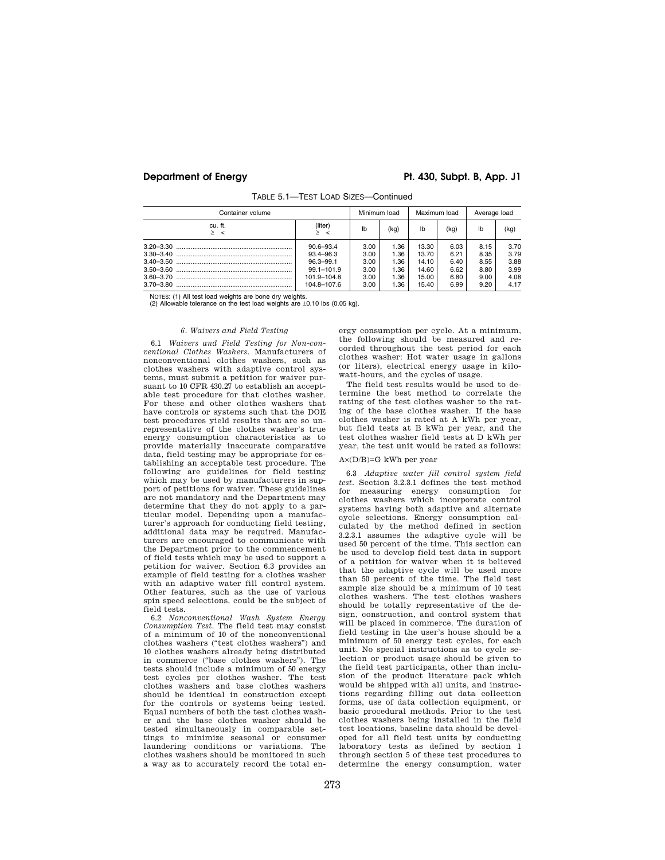# **Department of Energy Pt. 430, Subpt. B, App. J1**

| Container volume |                                                                                                 | Minimum load                                 |                                              | Maximum load                                       |                                              | Average load                                 |                                              |
|------------------|-------------------------------------------------------------------------------------------------|----------------------------------------------|----------------------------------------------|----------------------------------------------------|----------------------------------------------|----------------------------------------------|----------------------------------------------|
| cu. ft.<br>> <   | (liter)                                                                                         | Ib                                           | (kg)                                         | lb                                                 | (kg)                                         | Ib                                           | (kg)                                         |
|                  | $90.6 - 93.4$<br>$93.4 - 96.3$<br>$96.3 - 99.1$<br>$99.1 - 101.9$<br>101.9-104.8<br>104.8-107.6 | 3.00<br>3.00<br>3.00<br>3.00<br>3.00<br>3.00 | 1.36<br>1.36<br>1.36<br>1.36<br>1.36<br>1.36 | 13.30<br>13.70<br>14.10<br>14.60<br>15.00<br>15.40 | 6.03<br>6.21<br>6.40<br>6.62<br>6.80<br>6.99 | 8.15<br>8.35<br>8.55<br>8.80<br>9.00<br>9.20 | 3.70<br>3.79<br>3.88<br>3.99<br>4.08<br>4.17 |

TABLE 5.1—TEST LOAD SIZES—Continued

NOTES: (1) All test load weights are bone dry weights. (2) Allowable tolerance on the test load weights are ±0.10 lbs (0.05 kg).

## *6. Waivers and Field Testing*

6.1 *Waivers and Field Testing for Non-conventional Clothes Washers.* Manufacturers of nonconventional clothes washers, such as clothes washers with adaptive control systems, must submit a petition for waiver pursuant to 10 CFR 430.27 to establish an acceptable test procedure for that clothes washer. For these and other clothes washers that have controls or systems such that the DOE test procedures yield results that are so unrepresentative of the clothes washer's true energy consumption characteristics as to provide materially inaccurate comparative data, field testing may be appropriate for establishing an acceptable test procedure. The following are guidelines for field testing which may be used by manufacturers in support of petitions for waiver. These guidelines are not mandatory and the Department may determine that they do not apply to a particular model. Depending upon a manufacturer's approach for conducting field testing, additional data may be required. Manufacturers are encouraged to communicate with the Department prior to the commencement of field tests which may be used to support a petition for waiver. Section 6.3 provides an example of field testing for a clothes washer with an adaptive water fill control system. Other features, such as the use of various spin speed selections, could be the subject of field tests.

6.2 *Nonconventional Wash System Energy Consumption Test.* The field test may consist of a minimum of 10 of the nonconventional clothes washers (''test clothes washers'') and 10 clothes washers already being distributed in commerce (''base clothes washers''). The tests should include a minimum of 50 energy test cycles per clothes washer. The test clothes washers and base clothes washers should be identical in construction except for the controls or systems being tested. Equal numbers of both the test clothes washer and the base clothes washer should be tested simultaneously in comparable settings to minimize seasonal or consumer laundering conditions or variations. The clothes washers should be monitored in such a way as to accurately record the total en-

ergy consumption per cycle. At a minimum, the following should be measured and recorded throughout the test period for each clothes washer: Hot water usage in gallons (or liters), electrical energy usage in kilowatt-hours, and the cycles of usage.

The field test results would be used to determine the best method to correlate the rating of the test clothes washer to the rating of the base clothes washer. If the base clothes washer is rated at A kWh per year, but field tests at B kWh per year, and the test clothes washer field tests at D kWh per year, the test unit would be rated as follows:

# A×(D/B)=G kWh per year

6.3 *Adaptive water fill control system field test.* Section 3.2.3.1 defines the test method for measuring energy consumption for clothes washers which incorporate control systems having both adaptive and alternate cycle selections. Energy consumption calculated by the method defined in section 3.2.3.1 assumes the adaptive cycle will be used 50 percent of the time. This section can be used to develop field test data in support of a petition for waiver when it is believed that the adaptive cycle will be used more than 50 percent of the time. The field test sample size should be a minimum of 10 test clothes washers. The test clothes washers should be totally representative of the design, construction, and control system that will be placed in commerce. The duration of field testing in the user's house should be a minimum of 50 energy test cycles, for each unit. No special instructions as to cycle selection or product usage should be given to the field test participants, other than inclusion of the product literature pack which would be shipped with all units, and instructions regarding filling out data collection forms, use of data collection equipment, or basic procedural methods. Prior to the test clothes washers being installed in the field test locations, baseline data should be developed for all field test units by conducting laboratory tests as defined by section 1 through section 5 of these test procedures to determine the energy consumption, water